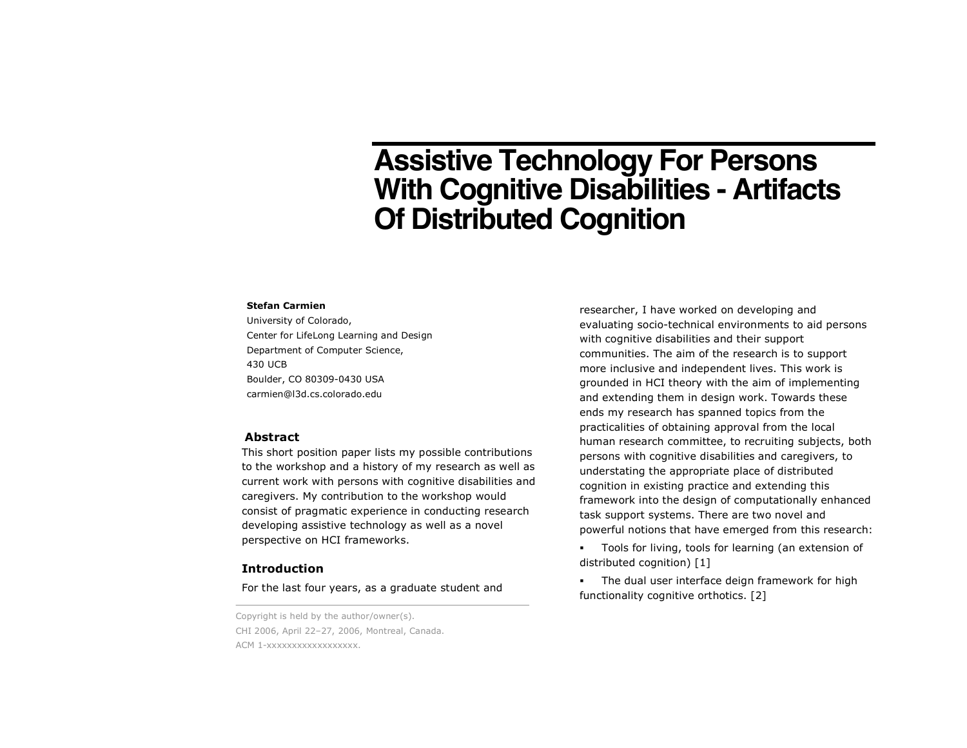# **Assistive Technology For Persons With Cognitive Disabilities - Artifacts Of Distributed Cognition**

#### **Stefan Carmien**

University of Colorado, Center for LifeLong Learning and Design Department of Computer Science, 430 UCB Boulder, CO 80309-0430 USA carmien@l3d.cs.colorado.edu

## **Abstract**

This short position paper lists my possible contributions to the workshop and a history of my research as well as current work with persons with cognitive disabilities and caregivers. My contribution to the workshop would consist of pragmatic experience in conducting research developing assistive technology as well as a novel perspective on HCI frameworks.

## **Introduction**

For the last four years, as a graduate student and

Copyright is held by the author/owner(s). CHI 2006, April 22–27, 2006, Montreal, Canada. ACM 1-xxxxxxxxxxxxxxxxx.

researcher, I have worked on developing and evaluating socio-technical environments to aid persons with cognitive disabilities and their support communities. The aim of the research is to support more inclusive and independent lives. This work is grounded in HCI theory with the aim of implementing and extending them in design work. Towards these ends my research has spanned topics from the practicalities of obtaining approval from the local human research committee, to recruiting subjects, both persons with cognitive disabilities and caregivers, to understating the appropriate place of distributed cognition in existing practice and extending this framework into the design of computationally enhanced task support systems. There are two novel and powerful notions that have emerged from this research:

 Tools for living, tools for learning (an extension of distributed cognition) [1]

 The dual user interface deign framework for high functionality cognitive orthotics. [2]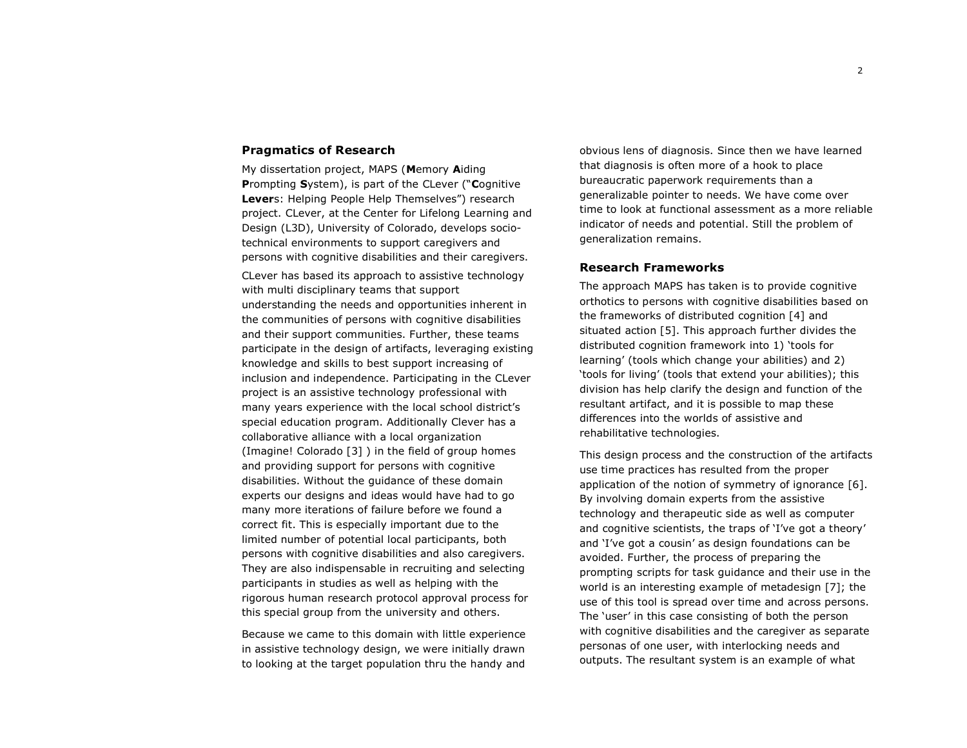## **Pragmatics of Research**

My dissertation project, MAPS (**M**emory **A**iding **P**rompting **S**ystem), is part of the CLever ("**C**ognitive **Lever**s: Helping People Help Themselves") research project. CLever, at the Center for Lifelong Learning and Design (L3D), University of Colorado, develops sociotechnical environments to support caregivers and persons with cognitive disabilities and their caregivers.

CLever has based its approach to assistive technology with multi disciplinary teams that support understanding the needs and opportunities inherent in the communities of persons with cognitive disabilities and their support communities. Further, these teams participate in the design of artifacts, leveraging existing knowledge and skills to best support increasing of inclusion and independence. Participating in the CLever project is an assistive technology professional with many years experience with the local school district's special education program. Additionally Clever has a collaborative alliance with a local organization (Imagine! Colorado [3] ) in the field of group homes and providing support for persons with cognitive disabilities. Without the guidance of these domain experts our designs and ideas would have had to go many more iterations of failure before we found a correct fit. This is especially important due to the limited number of potential local participants, both persons with cognitive disabilities and also caregivers. They are also indispensable in recruiting and selecting participants in studies as well as helping with the rigorous human research protocol approval process for this special group from the university and others.

Because we came to this domain with little experience in assistive technology design, we were initially drawn to looking at the target population thru the handy and

obvious lens of diagnosis. Since then we have learned that diagnosis is often more of a hook to place bureaucratic paperwork requirements than a generalizable pointer to needs. We have come over time to look at functional assessment as a more reliable indicator of needs and potential. Still the problem of generalization remains.

## **Research Frameworks**

The approach MAPS has taken is to provide cognitive orthotics to persons with cognitive disabilities based on the frameworks of distributed cognition [4] and situated action [5]. This approach further divides the distributed cognition framework into 1) 'tools for learning' (tools which change your abilities) and 2) 'tools for living' (tools that extend your abilities); this division has help clarify the design and function of the resultant artifact, and it is possible to map these differences into the worlds of assistive and rehabilitative technologies.

This design process and the construction of the artifacts use time practices has resulted from the proper application of the notion of symmetry of ignorance [6]. By involving domain experts from the assistive technology and therapeutic side as well as computer and cognitive scientists, the traps of 'I've got a theory' and 'I've got a cousin' as design foundations can be avoided. Further, the process of preparing the prompting scripts for task guidance and their use in the world is an interesting example of metadesign [7]; the use of this tool is spread over time and across persons. The 'user' in this case consisting of both the person with cognitive disabilities and the caregiver as separate personas of one user, with interlocking needs and outputs. The resultant system is an example of what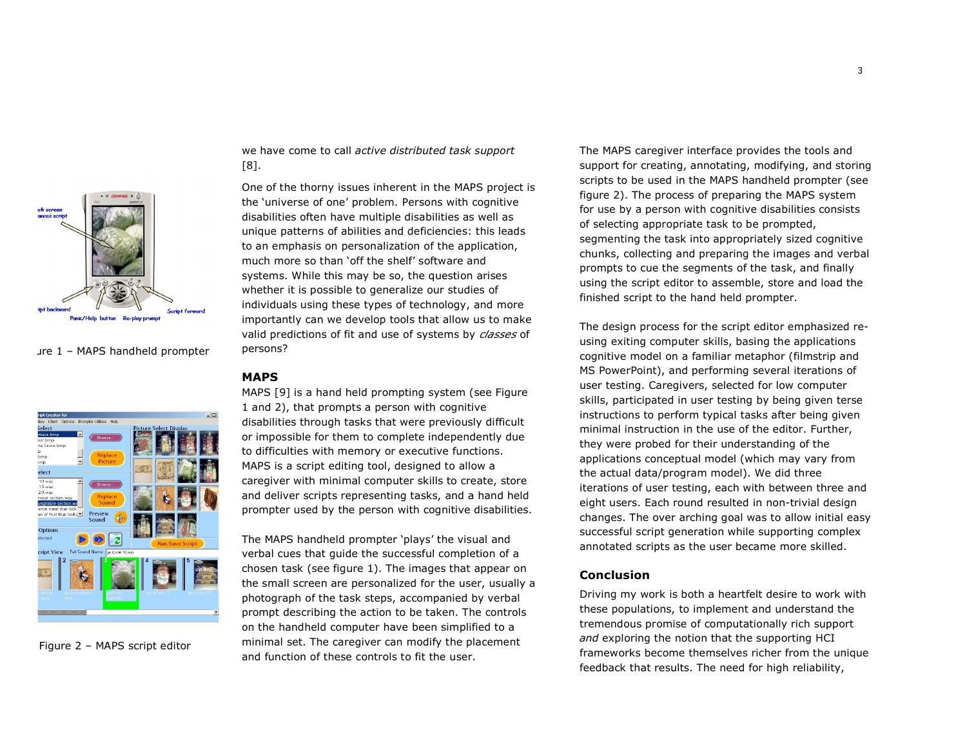

 $I - MAPS$  handheld prompter



Figure 2 – MAPS script editor

we have come to call *active distributed task support* [8].

One of the thorny issues inherent in the MAPS project is the 'universe of one' problem. Persons with cognitive disabilities often have multiple disabilities as well as unique patterns of abilities and deficiencies: this leads to an emphasis on personalization of the application, much more so than 'off the shelf' software and systems. While this may be so, the question arises whether it is possible to generalize our studies of individuals using these types of technology, and more importantly can we develop tools that allow us to make valid predictions of fit and use of systems by *classes* of persons?

#### **MAPS**

MAPS [9] is a hand held prompting system (see Figure 1 and 2), that prompts a person with cognitive disabilities through tasks that were previously difficult or impossible for them to complete independently due to difficulties with memory or executive functions. MAPS is a script editing tool, designed to allow a caregiver with minimal computer skills to create, store and deliver scripts representing tasks, and a hand held prompter used by the person with cognitive disabilities.

The MAPS handheld prompter 'plays' the visual and verbal cues that guide the successful completion of a chosen task (see figure 1). The images that appear on the small screen are personalized for the user, usually a photograph of the task steps, accompanied by verbal prompt describing the action to be taken. The controls on the handheld computer have been simplified to a minimal set. The caregiver can modify the placement and function of these controls to fit the user.

The MAPS caregiver interface provides the tools and support for creating, annotating, modifying, and storing scripts to be used in the MAPS handheld prompter (see figure 2). The process of preparing the MAPS system for use by a person with cognitive disabilities consists of selecting appropriate task to be prompted, segmenting the task into appropriately sized cognitive chunks, collecting and preparing the images and verbal prompts to cue the segments of the task, and finally using the script editor to assemble, store and load the finished script to the hand held prompter.

The design process for the script editor emphasized reusing exiting computer skills, basing the applications cognitive model on a familiar metaphor (filmstrip and MS PowerPoint), and performing several iterations of user testing. Caregivers, selected for low computer skills, participated in user testing by being given terse instructions to perform typical tasks after being given minimal instruction in the use of the editor. Further, they were probed for their understanding of the applications conceptual model (which may vary from the actual data/program model). We did three iterations of user testing, each with between three and eight users. Each round resulted in non-trivial design changes. The over arching goal was to allow initial easy successful script generation while supporting complex annotated scripts as the user became more skilled.

## **Conclusion**

Driving my work is both a heartfelt desire to work with these populations, to implement and understand the tremendous promise of computationally rich support *and* exploring the notion that the supporting HCI frameworks become themselves richer from the unique feedback that results. The need for high reliability,